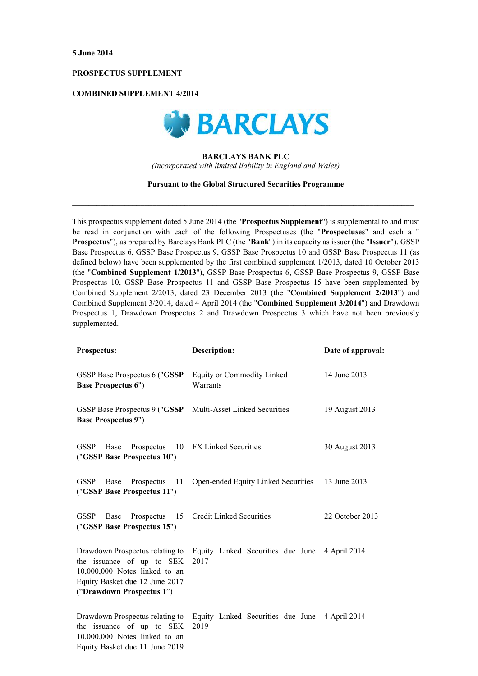### PROSPECTUS SUPPLEMENT

## **COMBINED SUPPLEMENT 4/2014**



# **BARCLAYS BANK PLC** (Incorporated with limited liability in England and Wales)

### **Pursuant to the Global Structured Securities Programme**

This prospectus supplement dated 5 June 2014 (the "Prospectus Supplement") is supplemental to and must be read in conjunction with each of the following Prospectuses (the "Prospectuses" and each a " **Prospectus"**), as prepared by Barclays Bank PLC (the "Bank") in its capacity as issuer (the "Issuer"). GSSP Base Prospectus 6, GSSP Base Prospectus 9, GSSP Base Prospectus 10 and GSSP Base Prospectus 11 (as defined below) have been supplemented by the first combined supplement 1/2013, dated 10 October 2013 (the "Combined Supplement 1/2013"), GSSP Base Prospectus 6, GSSP Base Prospectus 9, GSSP Base Prospectus 10, GSSP Base Prospectus 11 and GSSP Base Prospectus 15 have been supplemented by Combined Supplement 2/2013, dated 23 December 2013 (the "Combined Supplement 2/2013") and Combined Supplement 3/2014, dated 4 April 2014 (the "Combined Supplement 3/2014") and Drawdown Prospectus 1. Drawdown Prospectus 2 and Drawdown Prospectus 3 which have not been previously supplemented.

| <b>Prospectus:</b>                                                                                                                                           | Description:                                  | Date of approval: |
|--------------------------------------------------------------------------------------------------------------------------------------------------------------|-----------------------------------------------|-------------------|
| GSSP Base Prospectus 6 ("GSSP<br><b>Base Prospectus 6")</b>                                                                                                  | <b>Equity or Commodity Linked</b><br>Warrants | 14 June 2013      |
| GSSP Base Prospectus 9 ("GSSP<br><b>Base Prospectus 9")</b>                                                                                                  | Multi-Asset Linked Securities                 | 19 August 2013    |
| <b>GSSP</b><br>10<br>Base<br>Prospectus<br>("GSSP Base Prospectus 10")                                                                                       | <b>FX Linked Securities</b>                   | 30 August 2013    |
| GSSP Base<br>Prospectus<br>11<br>("GSSP Base Prospectus 11")                                                                                                 | Open-ended Equity Linked Securities           | 13 June 2013      |
| GSSP<br>Base<br>Prospectus<br>15<br>("GSSP Base Prospectus 15")                                                                                              | <b>Credit Linked Securities</b>               | 22 October 2013   |
| Drawdown Prospectus relating to<br>the issuance of up to SEK<br>10,000,000 Notes linked to an<br>Equity Basket due 12 June 2017<br>("Drawdown Prospectus 1") | Equity Linked Securities due June<br>2017     | 4 April 2014      |
| Drawdown Prospectus relating to<br>the issuance of up to SEK<br>10,000,000 Notes linked to an<br>Equity Basket due 11 June 2019                              | Equity Linked Securities due June<br>2019     | 4 April 2014      |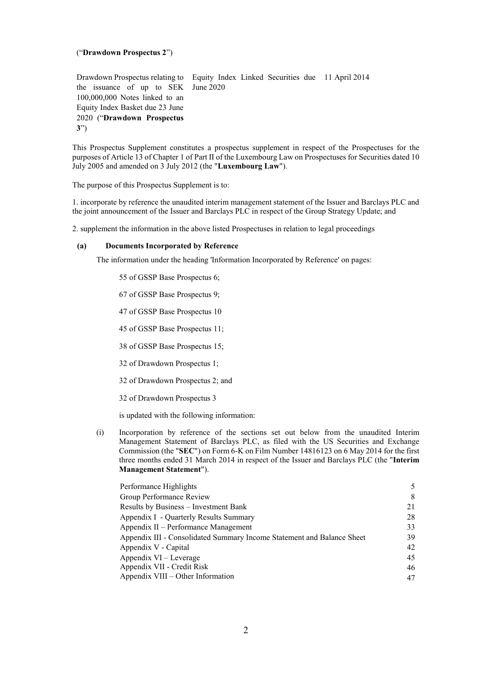## ("Drawdown Prospectus 2")

Drawdown Prospectus relating to Equity Index Linked Securities due 11 April 2014 the issuance of up to SEK June 2020 100,000,000 Notes linked to an Equity Index Basket due 23 June 2020 ("Drawdown Prospectus  $3")$ 

This Prospectus Supplement constitutes a prospectus supplement in respect of the Prospectuses for the purposes of Article 13 of Chapter 1 of Part II of the Luxembourg Law on Prospectuses for Securities dated 10 July 2005 and amended on 3 July 2012 (the "Luxembourg Law").

The purpose of this Prospectus Supplement is to:

1. incorporate by reference the unaudited interim management statement of the Issuer and Barclays PLC and the joint announcement of the Issuer and Barclays PLC in respect of the Group Strategy Update; and

2. supplement the information in the above listed Prospectuses in relation to legal proceedings

#### **Documents Incorporated by Reference**  $(a)$

The information under the heading 'Information Incorporated by Reference' on pages:

55 of GSSP Base Prospectus 6:

67 of GSSP Base Prospectus 9;

47 of GSSP Base Prospectus 10

45 of GSSP Base Prospectus 11;

38 of GSSP Base Prospectus 15;

32 of Drawdown Prospectus 1;

32 of Drawdown Prospectus 2; and

32 of Drawdown Prospectus 3

is updated with the following information:

 $(i)$ Incorporation by reference of the sections set out below from the unaudited Interim Management Statement of Barclays PLC, as filed with the US Securities and Exchange Commission (the "SEC") on Form 6-K on Film Number 14816123 on 6 May 2014 for the first three months ended 31 March 2014 in respect of the Issuer and Barclays PLC (the "Interim Management Statement").

| Performance Highlights                                                 | 5  |
|------------------------------------------------------------------------|----|
| Group Performance Review                                               | 8  |
| Results by Business – Investment Bank                                  | 21 |
| Appendix I - Quarterly Results Summary                                 | 28 |
| Appendix II – Performance Management                                   | 33 |
| Appendix III - Consolidated Summary Income Statement and Balance Sheet | 39 |
| Appendix V - Capital                                                   | 42 |
| Appendix VI – Leverage                                                 | 45 |
| Appendix VII - Credit Risk                                             | 46 |
| Appendix VIII – Other Information                                      | 47 |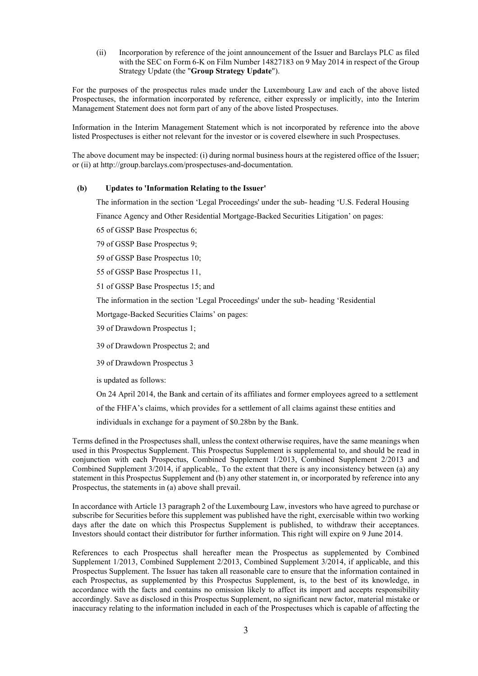Incorporation by reference of the joint announcement of the Issuer and Barclays PLC as filed  $(ii)$ with the SEC on Form 6-K on Film Number 14827183 on 9 May 2014 in respect of the Group Strategy Update (the "Group Strategy Update").

For the purposes of the prospectus rules made under the Luxembourg Law and each of the above listed Prospectuses, the information incorporated by reference, either expressly or implicitly, into the Interim Management Statement does not form part of any of the above listed Prospectuses.

Information in the Interim Management Statement which is not incorporated by reference into the above listed Prospectuses is either not relevant for the investor or is covered elsewhere in such Prospectuses.

The above document may be inspected: (i) during normal business hours at the registered office of the Issuer; or (ii) at http://group.barclays.com/prospectuses-and-documentation.

#### $(b)$ **Updates to 'Information Relating to the Issuer'**

The information in the section 'Legal Proceedings' under the sub-heading 'U.S. Federal Housing

Finance Agency and Other Residential Mortgage-Backed Securities Litigation' on pages:

65 of GSSP Base Prospectus 6;

79 of GSSP Base Prospectus 9;

59 of GSSP Base Prospectus 10;

55 of GSSP Base Prospectus 11,

51 of GSSP Base Prospectus 15; and

The information in the section 'Legal Proceedings' under the sub-heading 'Residential

Mortgage-Backed Securities Claims' on pages:

39 of Drawdown Prospectus 1;

39 of Drawdown Prospectus 2; and

39 of Drawdown Prospectus 3

is updated as follows:

On 24 April 2014, the Bank and certain of its affiliates and former employees agreed to a settlement

of the FHFA's claims, which provides for a settlement of all claims against these entities and

individuals in exchange for a payment of \$0.28bn by the Bank.

Terms defined in the Prospectuses shall, unless the context otherwise requires, have the same meanings when used in this Prospectus Supplement. This Prospectus Supplement is supplemental to, and should be read in conjunction with each Prospectus, Combined Supplement 1/2013, Combined Supplement 2/2013 and Combined Supplement 3/2014, if applicable. To the extent that there is any inconsistency between (a) any statement in this Prospectus Supplement and (b) any other statement in, or incorporated by reference into any Prospectus, the statements in (a) above shall prevail.

In accordance with Article 13 paragraph 2 of the Luxembourg Law, investors who have agreed to purchase or subscribe for Securities before this supplement was published have the right, exercisable within two working days after the date on which this Prospectus Supplement is published, to withdraw their acceptances. Investors should contact their distributor for further information. This right will expire on 9 June 2014.

References to each Prospectus shall hereafter mean the Prospectus as supplemented by Combined Supplement 1/2013, Combined Supplement 2/2013, Combined Supplement 3/2014, if applicable, and this Prospectus Supplement. The Issuer has taken all reasonable care to ensure that the information contained in each Prospectus, as supplemented by this Prospectus Supplement, is, to the best of its knowledge, in accordance with the facts and contains no omission likely to affect its import and accepts responsibility accordingly. Save as disclosed in this Prospectus Supplement, no significant new factor, material mistake or inaccuracy relating to the information included in each of the Prospectuses which is capable of affecting the